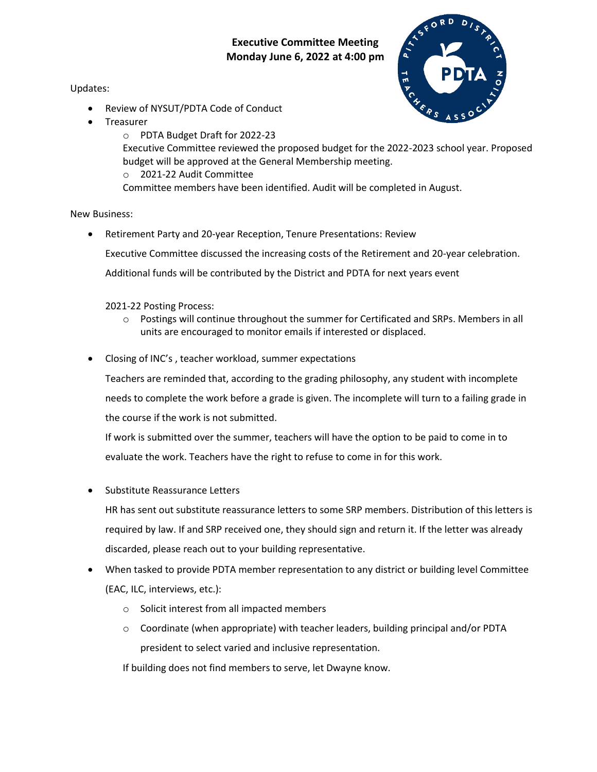## **Executive Committee Meeting Monday June 6, 2022 at 4:00 pm**

Updates:

- Review of NYSUT/PDTA Code of Conduct
- Treasurer



o PDTA Budget Draft for 2022-23 Executive Committee reviewed the proposed budget for the 2022-2023 school year. Proposed budget will be approved at the General Membership meeting. o 2021-22 Audit Committee Committee members have been identified. Audit will be completed in August.

## New Business:

 Retirement Party and 20-year Reception, Tenure Presentations: Review Executive Committee discussed the increasing costs of the Retirement and 20-year celebration.

Additional funds will be contributed by the District and PDTA for next years event

2021-22 Posting Process:

- $\circ$  Postings will continue throughout the summer for Certificated and SRPs. Members in all units are encouraged to monitor emails if interested or displaced.
- Closing of INC's , teacher workload, summer expectations

Teachers are reminded that, according to the grading philosophy, any student with incomplete needs to complete the work before a grade is given. The incomplete will turn to a failing grade in the course if the work is not submitted.

If work is submitted over the summer, teachers will have the option to be paid to come in to evaluate the work. Teachers have the right to refuse to come in for this work.

Substitute Reassurance Letters

HR has sent out substitute reassurance letters to some SRP members. Distribution of this letters is required by law. If and SRP received one, they should sign and return it. If the letter was already discarded, please reach out to your building representative.

- When tasked to provide PDTA member representation to any district or building level Committee (EAC, ILC, interviews, etc.):
	- o Solicit interest from all impacted members
	- $\circ$  Coordinate (when appropriate) with teacher leaders, building principal and/or PDTA president to select varied and inclusive representation.

If building does not find members to serve, let Dwayne know.